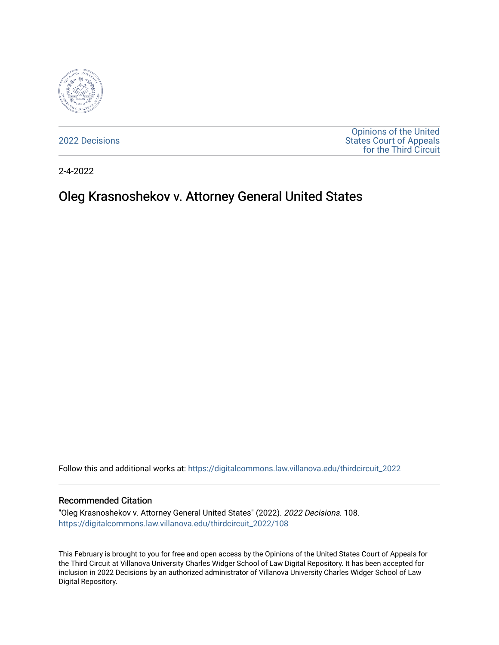

[2022 Decisions](https://digitalcommons.law.villanova.edu/thirdcircuit_2022)

[Opinions of the United](https://digitalcommons.law.villanova.edu/thirdcircuit)  [States Court of Appeals](https://digitalcommons.law.villanova.edu/thirdcircuit)  [for the Third Circuit](https://digitalcommons.law.villanova.edu/thirdcircuit) 

2-4-2022

# Oleg Krasnoshekov v. Attorney General United States

Follow this and additional works at: [https://digitalcommons.law.villanova.edu/thirdcircuit\\_2022](https://digitalcommons.law.villanova.edu/thirdcircuit_2022?utm_source=digitalcommons.law.villanova.edu%2Fthirdcircuit_2022%2F108&utm_medium=PDF&utm_campaign=PDFCoverPages) 

#### Recommended Citation

"Oleg Krasnoshekov v. Attorney General United States" (2022). 2022 Decisions. 108. [https://digitalcommons.law.villanova.edu/thirdcircuit\\_2022/108](https://digitalcommons.law.villanova.edu/thirdcircuit_2022/108?utm_source=digitalcommons.law.villanova.edu%2Fthirdcircuit_2022%2F108&utm_medium=PDF&utm_campaign=PDFCoverPages)

This February is brought to you for free and open access by the Opinions of the United States Court of Appeals for the Third Circuit at Villanova University Charles Widger School of Law Digital Repository. It has been accepted for inclusion in 2022 Decisions by an authorized administrator of Villanova University Charles Widger School of Law Digital Repository.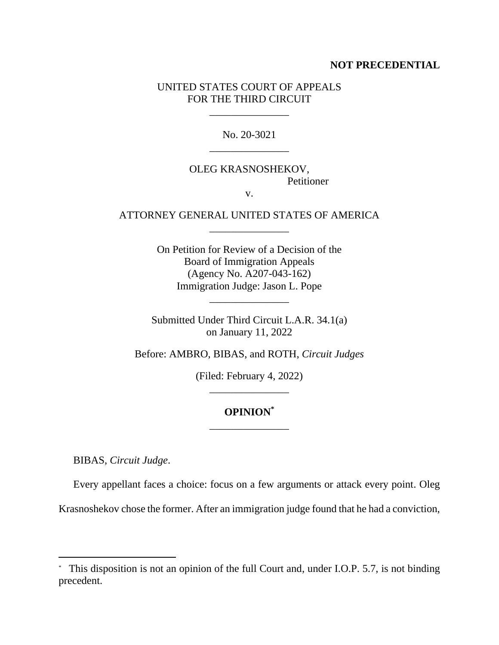### **NOT PRECEDENTIAL**

### UNITED STATES COURT OF APPEALS FOR THE THIRD CIRCUIT

\_\_\_\_\_\_\_\_\_\_\_\_\_\_\_

No. 20-3021 \_\_\_\_\_\_\_\_\_\_\_\_\_\_\_

# OLEG KRASNOSHEKOV, Petitioner

v.

### ATTORNEY GENERAL UNITED STATES OF AMERICA \_\_\_\_\_\_\_\_\_\_\_\_\_\_\_

On Petition for Review of a Decision of the Board of Immigration Appeals (Agency No. A207-043-162) Immigration Judge: Jason L. Pope

Submitted Under Third Circuit L.A.R. 34.1(a) on January 11, 2022

\_\_\_\_\_\_\_\_\_\_\_\_\_\_\_

Before: AMBRO, BIBAS, and ROTH, *Circuit Judges*

(Filed: February 4, 2022) \_\_\_\_\_\_\_\_\_\_\_\_\_\_\_

## **OPINION\*** \_\_\_\_\_\_\_\_\_\_\_\_\_\_\_

BIBAS, *Circuit Judge*.

Every appellant faces a choice: focus on a few arguments or attack every point. Oleg

Krasnoshekov chose the former. After an immigration judge found that he had a conviction,

<sup>\*</sup> This disposition is not an opinion of the full Court and, under I.O.P. 5.7, is not binding precedent.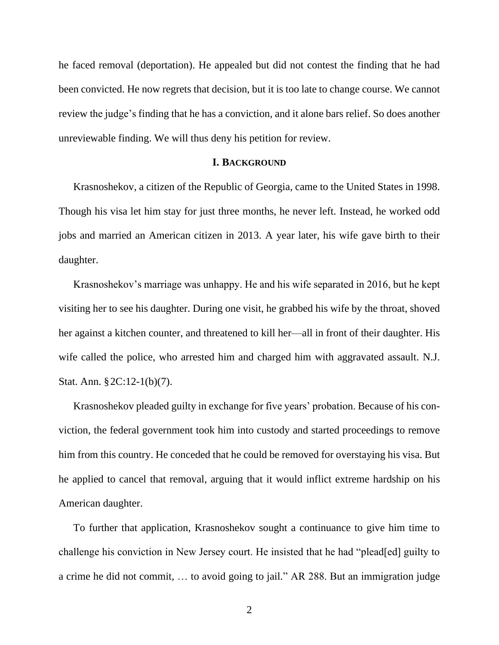he faced removal (deportation). He appealed but did not contest the finding that he had been convicted. He now regrets that decision, but it is too late to change course. We cannot review the judge's finding that he has a conviction, and it alone bars relief. So does another unreviewable finding. We will thus deny his petition for review.

### **I. BACKGROUND**

Krasnoshekov, a citizen of the Republic of Georgia, came to the United States in 1998. Though his visa let him stay for just three months, he never left. Instead, he worked odd jobs and married an American citizen in 2013. A year later, his wife gave birth to their daughter.

Krasnoshekov's marriage was unhappy. He and his wife separated in 2016, but he kept visiting her to see his daughter. During one visit, he grabbed his wife by the throat, shoved her against a kitchen counter, and threatened to kill her—all in front of their daughter. His wife called the police, who arrested him and charged him with aggravated assault. N.J. Stat. Ann. §2C:12-1(b)(7).

Krasnoshekov pleaded guilty in exchange for five years' probation. Because of his conviction, the federal government took him into custody and started proceedings to remove him from this country. He conceded that he could be removed for overstaying his visa. But he applied to cancel that removal, arguing that it would inflict extreme hardship on his American daughter.

To further that application, Krasnoshekov sought a continuance to give him time to challenge his conviction in New Jersey court. He insisted that he had "plead[ed] guilty to a crime he did not commit, … to avoid going to jail." AR 288. But an immigration judge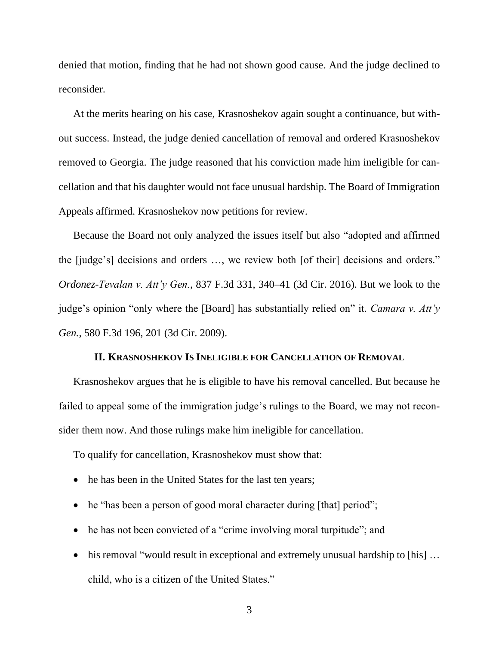denied that motion, finding that he had not shown good cause. And the judge declined to reconsider.

At the merits hearing on his case, Krasnoshekov again sought a continuance, but without success. Instead, the judge denied cancellation of removal and ordered Krasnoshekov removed to Georgia. The judge reasoned that his conviction made him ineligible for cancellation and that his daughter would not face unusual hardship. The Board of Immigration Appeals affirmed. Krasnoshekov now petitions for review.

Because the Board not only analyzed the issues itself but also "adopted and affirmed the [judge's] decisions and orders …, we review both [of their] decisions and orders." *Ordonez-Tevalan v. Att'y Gen.*, 837 F.3d 331, 340–41 (3d Cir. 2016). But we look to the judge's opinion "only where the [Board] has substantially relied on" it. *Camara v. Att'y Gen.*, 580 F.3d 196, 201 (3d Cir. 2009).

### **II. KRASNOSHEKOV IS INELIGIBLE FOR CANCELLATION OF REMOVAL**

Krasnoshekov argues that he is eligible to have his removal cancelled. But because he failed to appeal some of the immigration judge's rulings to the Board, we may not reconsider them now. And those rulings make him ineligible for cancellation.

To qualify for cancellation, Krasnoshekov must show that:

- he has been in the United States for the last ten years;
- he "has been a person of good moral character during [that] period";
- he has not been convicted of a "crime involving moral turpitude"; and
- his removal "would result in exceptional and extremely unusual hardship to [his] ... child, who is a citizen of the United States."

3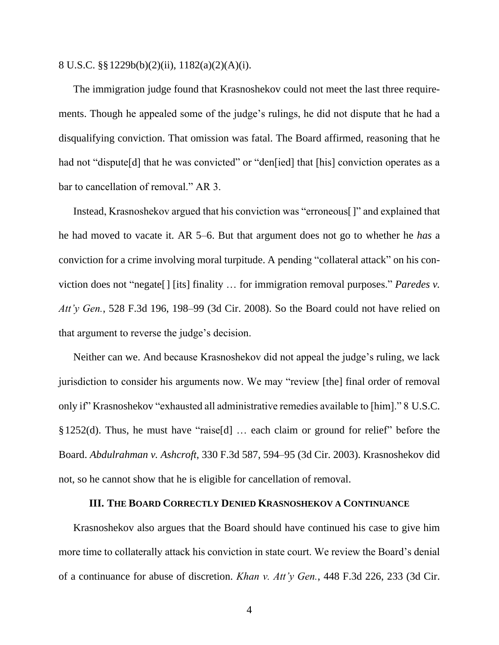#### 8 U.S.C. §§1229b(b)(2)(ii), 1182(a)(2)(A)(i).

The immigration judge found that Krasnoshekov could not meet the last three requirements. Though he appealed some of the judge's rulings, he did not dispute that he had a disqualifying conviction. That omission was fatal. The Board affirmed, reasoning that he had not "dispute[d] that he was convicted" or "den[ied] that [his] conviction operates as a bar to cancellation of removal." AR 3.

Instead, Krasnoshekov argued that his conviction was "erroneous[]" and explained that he had moved to vacate it. AR 5–6. But that argument does not go to whether he *has* a conviction for a crime involving moral turpitude. A pending "collateral attack" on his conviction does not "negate[] [its] finality … for immigration removal purposes." *Paredes v. Att'y Gen.*, 528 F.3d 196, 198–99 (3d Cir. 2008). So the Board could not have relied on that argument to reverse the judge's decision.

Neither can we. And because Krasnoshekov did not appeal the judge's ruling, we lack jurisdiction to consider his arguments now. We may "review [the] final order of removal only if" Krasnoshekov "exhausted all administrative remedies available to [him]." 8 U.S.C. §1252(d). Thus, he must have "raise[d] … each claim or ground for relief" before the Board. *Abdulrahman v. Ashcroft*, 330 F.3d 587, 594–95 (3d Cir. 2003). Krasnoshekov did not, so he cannot show that he is eligible for cancellation of removal.

### **III. THE BOARD CORRECTLY DENIED KRASNOSHEKOV A CONTINUANCE**

Krasnoshekov also argues that the Board should have continued his case to give him more time to collaterally attack his conviction in state court. We review the Board's denial of a continuance for abuse of discretion. *Khan v. Att'y Gen.*, 448 F.3d 226, 233 (3d Cir.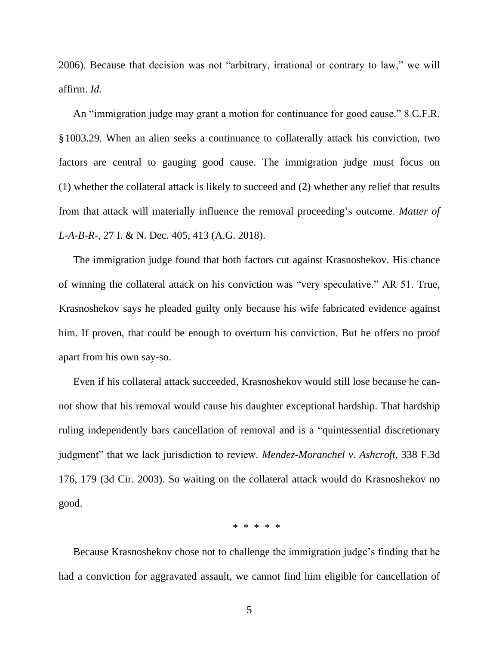2006). Because that decision was not "arbitrary, irrational or contrary to law," we will affirm. *Id.*

An "immigration judge may grant a motion for continuance for good cause." 8 C.F.R. §1003.29. When an alien seeks a continuance to collaterally attack his conviction, two factors are central to gauging good cause. The immigration judge must focus on (1) whether the collateral attack is likely to succeed and (2) whether any relief that results from that attack will materially influence the removal proceeding's outcome. *Matter of L-A-B-R-*, 27 I. & N. Dec. 405, 413 (A.G. 2018).

The immigration judge found that both factors cut against Krasnoshekov. His chance of winning the collateral attack on his conviction was "very speculative." AR 51. True, Krasnoshekov says he pleaded guilty only because his wife fabricated evidence against him. If proven, that could be enough to overturn his conviction. But he offers no proof apart from his own say-so.

Even if his collateral attack succeeded, Krasnoshekov would still lose because he cannot show that his removal would cause his daughter exceptional hardship. That hardship ruling independently bars cancellation of removal and is a "quintessential discretionary judgment" that we lack jurisdiction to review. *Mendez-Moranchel v. Ashcroft*, 338 F.3d 176, 179 (3d Cir. 2003). So waiting on the collateral attack would do Krasnoshekov no good.

\* \* \* \* \*

Because Krasnoshekov chose not to challenge the immigration judge's finding that he had a conviction for aggravated assault, we cannot find him eligible for cancellation of